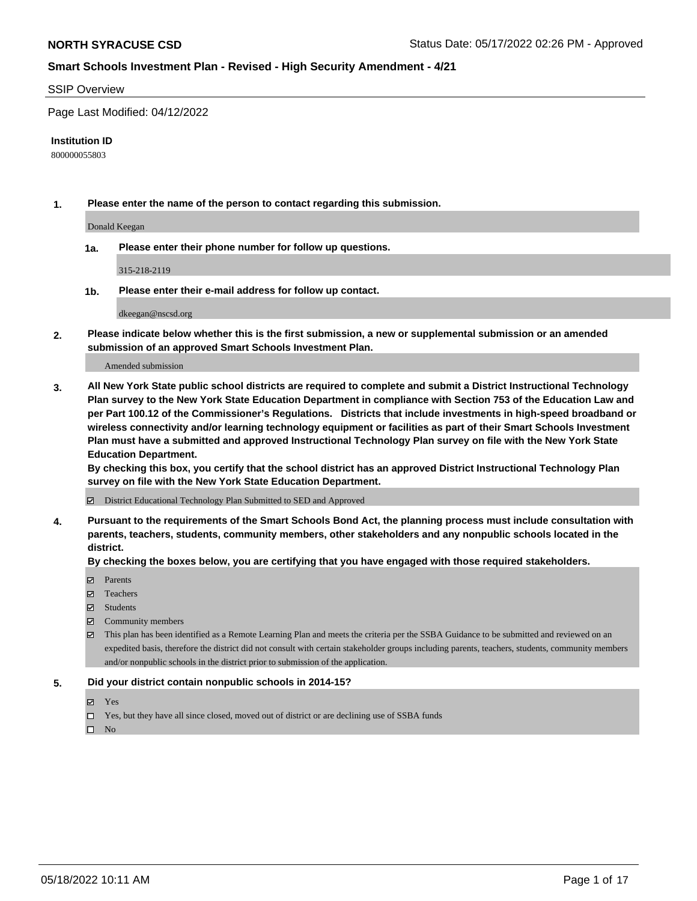#### SSIP Overview

Page Last Modified: 04/12/2022

#### **Institution ID**

800000055803

**1. Please enter the name of the person to contact regarding this submission.**

Donald Keegan

**1a. Please enter their phone number for follow up questions.**

315-218-2119

**1b. Please enter their e-mail address for follow up contact.**

dkeegan@nscsd.org

**2. Please indicate below whether this is the first submission, a new or supplemental submission or an amended submission of an approved Smart Schools Investment Plan.**

Amended submission

**3. All New York State public school districts are required to complete and submit a District Instructional Technology Plan survey to the New York State Education Department in compliance with Section 753 of the Education Law and per Part 100.12 of the Commissioner's Regulations. Districts that include investments in high-speed broadband or wireless connectivity and/or learning technology equipment or facilities as part of their Smart Schools Investment Plan must have a submitted and approved Instructional Technology Plan survey on file with the New York State Education Department.** 

**By checking this box, you certify that the school district has an approved District Instructional Technology Plan survey on file with the New York State Education Department.**

District Educational Technology Plan Submitted to SED and Approved

**4. Pursuant to the requirements of the Smart Schools Bond Act, the planning process must include consultation with parents, teachers, students, community members, other stakeholders and any nonpublic schools located in the district.** 

**By checking the boxes below, you are certifying that you have engaged with those required stakeholders.**

- **□** Parents
- Teachers
- Students
- $\Xi$  Community members
- This plan has been identified as a Remote Learning Plan and meets the criteria per the SSBA Guidance to be submitted and reviewed on an expedited basis, therefore the district did not consult with certain stakeholder groups including parents, teachers, students, community members and/or nonpublic schools in the district prior to submission of the application.

#### **5. Did your district contain nonpublic schools in 2014-15?**

- Yes
- $\Box$  Yes, but they have all since closed, moved out of district or are declining use of SSBA funds

 $\square$  No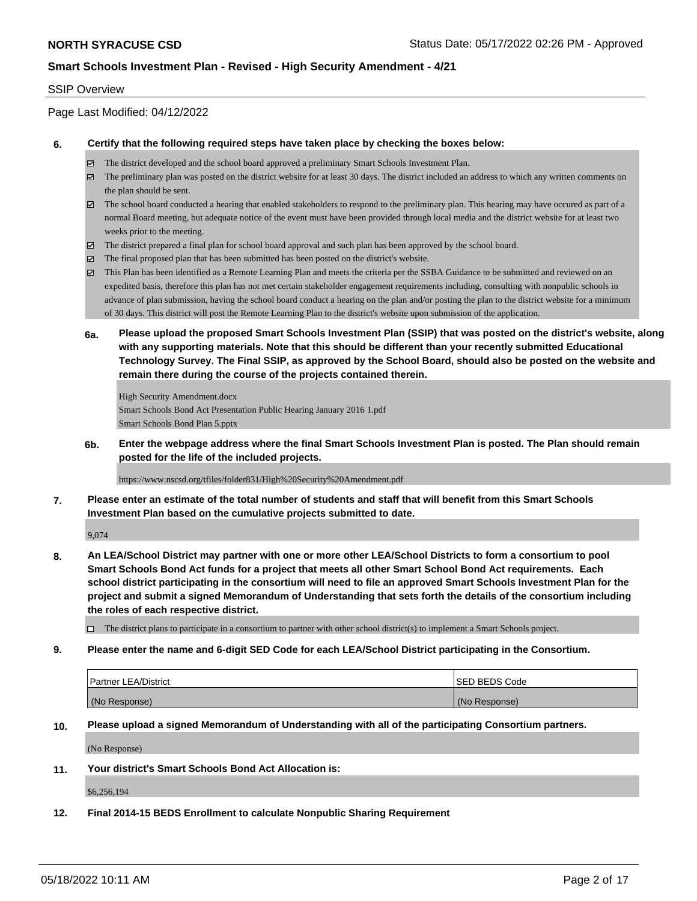#### SSIP Overview

Page Last Modified: 04/12/2022

#### **6. Certify that the following required steps have taken place by checking the boxes below:**

- The district developed and the school board approved a preliminary Smart Schools Investment Plan.
- $\boxtimes$  The preliminary plan was posted on the district website for at least 30 days. The district included an address to which any written comments on the plan should be sent.
- $\boxtimes$  The school board conducted a hearing that enabled stakeholders to respond to the preliminary plan. This hearing may have occured as part of a normal Board meeting, but adequate notice of the event must have been provided through local media and the district website for at least two weeks prior to the meeting.
- The district prepared a final plan for school board approval and such plan has been approved by the school board.
- $\boxtimes$  The final proposed plan that has been submitted has been posted on the district's website.
- This Plan has been identified as a Remote Learning Plan and meets the criteria per the SSBA Guidance to be submitted and reviewed on an expedited basis, therefore this plan has not met certain stakeholder engagement requirements including, consulting with nonpublic schools in advance of plan submission, having the school board conduct a hearing on the plan and/or posting the plan to the district website for a minimum of 30 days. This district will post the Remote Learning Plan to the district's website upon submission of the application.
- **6a. Please upload the proposed Smart Schools Investment Plan (SSIP) that was posted on the district's website, along with any supporting materials. Note that this should be different than your recently submitted Educational Technology Survey. The Final SSIP, as approved by the School Board, should also be posted on the website and remain there during the course of the projects contained therein.**

High Security Amendment.docx Smart Schools Bond Act Presentation Public Hearing January 2016 1.pdf Smart Schools Bond Plan 5.pptx

**6b. Enter the webpage address where the final Smart Schools Investment Plan is posted. The Plan should remain posted for the life of the included projects.**

https://www.nscsd.org/tfiles/folder831/High%20Security%20Amendment.pdf

**7. Please enter an estimate of the total number of students and staff that will benefit from this Smart Schools Investment Plan based on the cumulative projects submitted to date.**

9,074

**8. An LEA/School District may partner with one or more other LEA/School Districts to form a consortium to pool Smart Schools Bond Act funds for a project that meets all other Smart School Bond Act requirements. Each school district participating in the consortium will need to file an approved Smart Schools Investment Plan for the project and submit a signed Memorandum of Understanding that sets forth the details of the consortium including the roles of each respective district.**

 $\Box$  The district plans to participate in a consortium to partner with other school district(s) to implement a Smart Schools project.

**9. Please enter the name and 6-digit SED Code for each LEA/School District participating in the Consortium.**

| Partner LEA/District | <b>ISED BEDS Code</b> |
|----------------------|-----------------------|
| (No Response)        | (No Response)         |

**10. Please upload a signed Memorandum of Understanding with all of the participating Consortium partners.**

(No Response)

**11. Your district's Smart Schools Bond Act Allocation is:**

\$6,256,194

**12. Final 2014-15 BEDS Enrollment to calculate Nonpublic Sharing Requirement**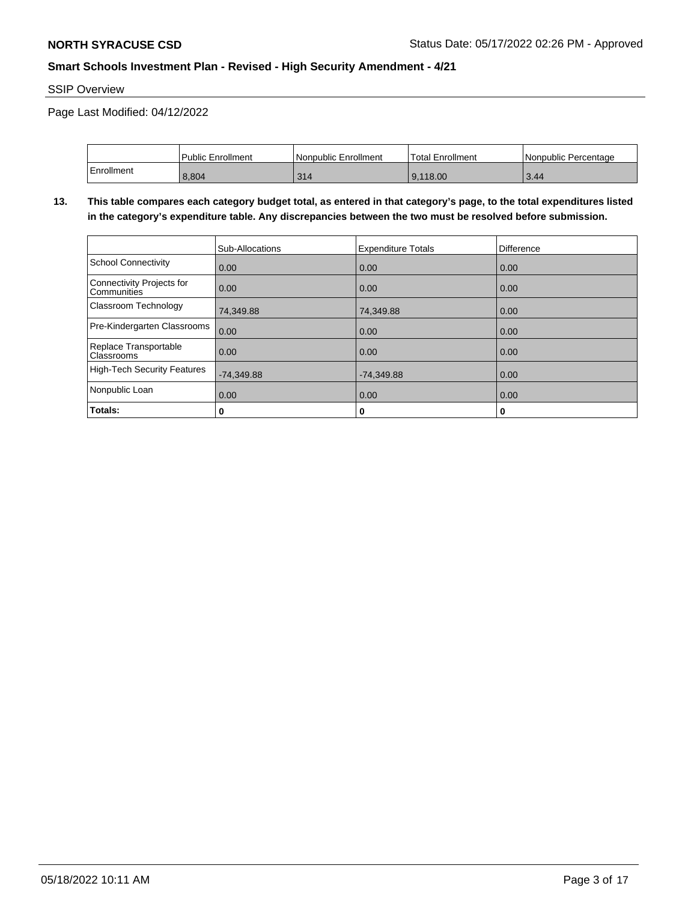SSIP Overview

Page Last Modified: 04/12/2022

|            | Public Enrollment | Nonpublic Enrollment | Total Enrollment | Nonpublic Percentage |
|------------|-------------------|----------------------|------------------|----------------------|
| Enrollment | 8,804             | 314                  | 9.118.00         | 3.44                 |

**13. This table compares each category budget total, as entered in that category's page, to the total expenditures listed in the category's expenditure table. Any discrepancies between the two must be resolved before submission.**

|                                                 | Sub-Allocations | <b>Expenditure Totals</b> | <b>Difference</b> |
|-------------------------------------------------|-----------------|---------------------------|-------------------|
| School Connectivity                             | 0.00            | 0.00                      | 0.00              |
| Connectivity Projects for<br><b>Communities</b> | 0.00            | 0.00                      | 0.00              |
| Classroom Technology                            | 74,349.88       | 74,349.88                 | 0.00              |
| Pre-Kindergarten Classrooms                     | 0.00            | 0.00                      | 0.00              |
| Replace Transportable<br><b>Classrooms</b>      | 0.00            | 0.00                      | 0.00              |
| High-Tech Security Features                     | $-74,349.88$    | $-74,349.88$              | 0.00              |
| Nonpublic Loan                                  | 0.00            | 0.00                      | 0.00              |
| Totals:                                         | 0               | 0                         | 0                 |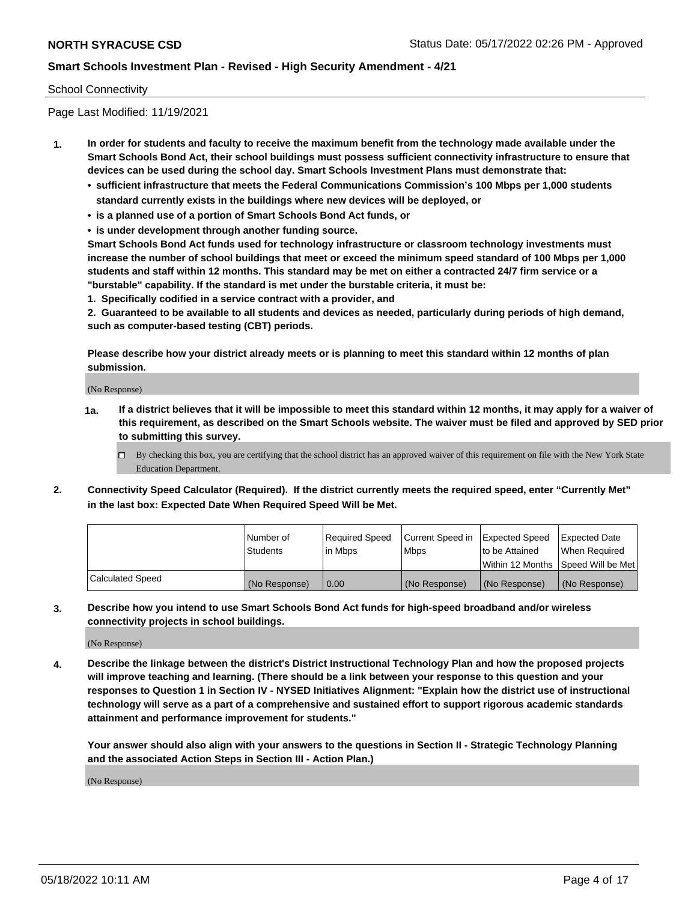### School Connectivity

Page Last Modified: 11/19/2021

- **1. In order for students and faculty to receive the maximum benefit from the technology made available under the Smart Schools Bond Act, their school buildings must possess sufficient connectivity infrastructure to ensure that devices can be used during the school day. Smart Schools Investment Plans must demonstrate that:**
	- **• sufficient infrastructure that meets the Federal Communications Commission's 100 Mbps per 1,000 students standard currently exists in the buildings where new devices will be deployed, or**
	- **• is a planned use of a portion of Smart Schools Bond Act funds, or**
	- **• is under development through another funding source.**

**Smart Schools Bond Act funds used for technology infrastructure or classroom technology investments must increase the number of school buildings that meet or exceed the minimum speed standard of 100 Mbps per 1,000 students and staff within 12 months. This standard may be met on either a contracted 24/7 firm service or a "burstable" capability. If the standard is met under the burstable criteria, it must be:**

**1. Specifically codified in a service contract with a provider, and**

**2. Guaranteed to be available to all students and devices as needed, particularly during periods of high demand, such as computer-based testing (CBT) periods.**

**Please describe how your district already meets or is planning to meet this standard within 12 months of plan submission.**

(No Response)

- **1a. If a district believes that it will be impossible to meet this standard within 12 months, it may apply for a waiver of this requirement, as described on the Smart Schools website. The waiver must be filed and approved by SED prior to submitting this survey.**
	- By checking this box, you are certifying that the school district has an approved waiver of this requirement on file with the New York State Education Department.
- **2. Connectivity Speed Calculator (Required). If the district currently meets the required speed, enter "Currently Met" in the last box: Expected Date When Required Speed Will be Met.**

|                  | l Number of     | Required Speed | Current Speed in Expected Speed |                                    | Expected Date |
|------------------|-----------------|----------------|---------------------------------|------------------------------------|---------------|
|                  | <b>Students</b> | l in Mbps      | <b>Mbps</b>                     | to be Attained                     | When Reauired |
|                  |                 |                |                                 | Within 12 Months Speed Will be Met |               |
| Calculated Speed | (No Response)   | 0.00           | (No Response)                   | (No Response)                      | (No Response) |

**3. Describe how you intend to use Smart Schools Bond Act funds for high-speed broadband and/or wireless connectivity projects in school buildings.**

(No Response)

**4. Describe the linkage between the district's District Instructional Technology Plan and how the proposed projects will improve teaching and learning. (There should be a link between your response to this question and your responses to Question 1 in Section IV - NYSED Initiatives Alignment: "Explain how the district use of instructional technology will serve as a part of a comprehensive and sustained effort to support rigorous academic standards attainment and performance improvement for students."** 

**Your answer should also align with your answers to the questions in Section II - Strategic Technology Planning and the associated Action Steps in Section III - Action Plan.)**

(No Response)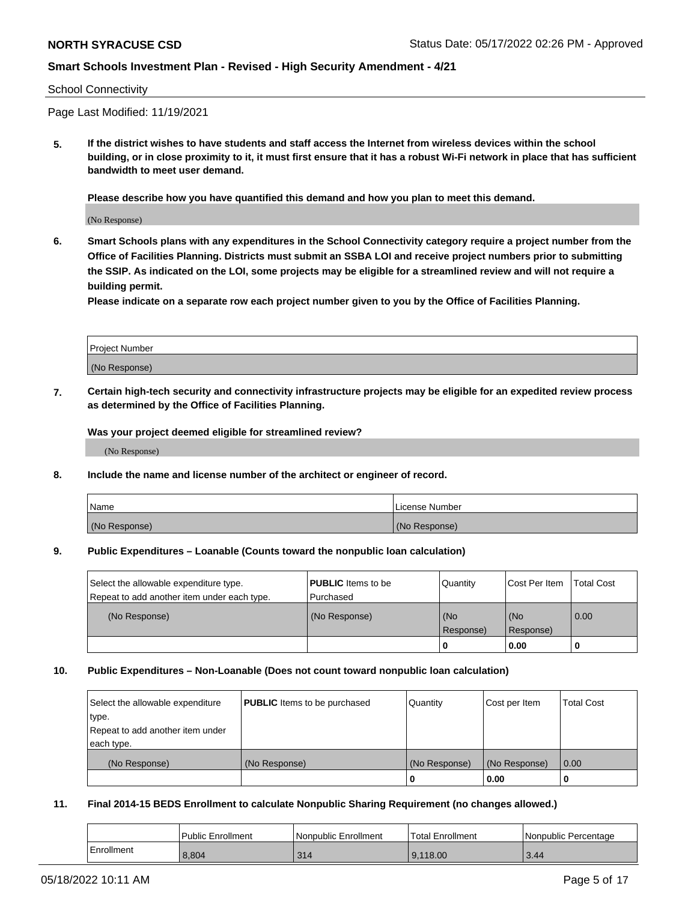#### School Connectivity

Page Last Modified: 11/19/2021

**5. If the district wishes to have students and staff access the Internet from wireless devices within the school building, or in close proximity to it, it must first ensure that it has a robust Wi-Fi network in place that has sufficient bandwidth to meet user demand.**

**Please describe how you have quantified this demand and how you plan to meet this demand.**

(No Response)

**6. Smart Schools plans with any expenditures in the School Connectivity category require a project number from the Office of Facilities Planning. Districts must submit an SSBA LOI and receive project numbers prior to submitting the SSIP. As indicated on the LOI, some projects may be eligible for a streamlined review and will not require a building permit.**

**Please indicate on a separate row each project number given to you by the Office of Facilities Planning.**

| Project Number   |  |
|------------------|--|
| (No<br>Response) |  |

**7. Certain high-tech security and connectivity infrastructure projects may be eligible for an expedited review process as determined by the Office of Facilities Planning.**

**Was your project deemed eligible for streamlined review?**

(No Response)

#### **8. Include the name and license number of the architect or engineer of record.**

| Name          | I License Number |
|---------------|------------------|
| (No Response) | (No Response)    |

#### **9. Public Expenditures – Loanable (Counts toward the nonpublic loan calculation)**

| Select the allowable expenditure type.<br>Repeat to add another item under each type. | <b>PUBLIC</b> Items to be<br>Purchased | Quantity         | Cost Per Item    | <b>Total Cost</b> |
|---------------------------------------------------------------------------------------|----------------------------------------|------------------|------------------|-------------------|
| (No Response)                                                                         | (No Response)                          | (No<br>Response) | (No<br>Response) | 0.00              |
|                                                                                       |                                        | 0                | 0.00             |                   |

### **10. Public Expenditures – Non-Loanable (Does not count toward nonpublic loan calculation)**

| Select the allowable expenditure | <b>PUBLIC</b> Items to be purchased | Quantity      | Cost per Item | <b>Total Cost</b> |
|----------------------------------|-------------------------------------|---------------|---------------|-------------------|
| type.                            |                                     |               |               |                   |
| Repeat to add another item under |                                     |               |               |                   |
| each type.                       |                                     |               |               |                   |
| (No Response)                    | (No Response)                       | (No Response) | (No Response) | 0.00              |
|                                  |                                     | -0            | 0.00          |                   |

#### **11. Final 2014-15 BEDS Enrollment to calculate Nonpublic Sharing Requirement (no changes allowed.)**

|            | Public Enrollment | Nonpublic Enrollment | <b>Total Enrollment</b> | Nonpublic Percentage |
|------------|-------------------|----------------------|-------------------------|----------------------|
| Enrollment | 8.804             | 314                  | 9.118.00                | 3.44                 |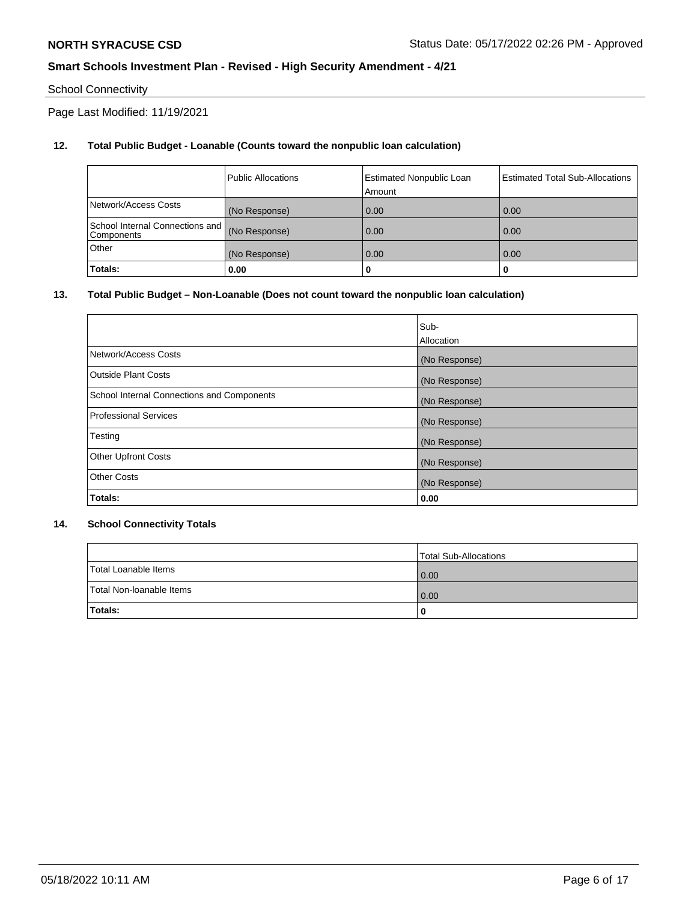## School Connectivity

Page Last Modified: 11/19/2021

## **12. Total Public Budget - Loanable (Counts toward the nonpublic loan calculation)**

|                                               | <b>Public Allocations</b> | <b>Estimated Nonpublic Loan</b><br>Amount | Estimated Total Sub-Allocations |
|-----------------------------------------------|---------------------------|-------------------------------------------|---------------------------------|
| Network/Access Costs                          | (No Response)             | 0.00                                      | 0.00                            |
| School Internal Connections and<br>Components | (No Response)             | 0.00                                      | 0.00                            |
| Other                                         | (No Response)             | 0.00                                      | 0.00                            |
| Totals:                                       | 0.00                      |                                           | 0                               |

### **13. Total Public Budget – Non-Loanable (Does not count toward the nonpublic loan calculation)**

|                                            | Sub-          |
|--------------------------------------------|---------------|
|                                            | Allocation    |
| Network/Access Costs                       | (No Response) |
| <b>Outside Plant Costs</b>                 | (No Response) |
| School Internal Connections and Components | (No Response) |
| <b>Professional Services</b>               | (No Response) |
| Testing                                    | (No Response) |
| <b>Other Upfront Costs</b>                 | (No Response) |
| <b>Other Costs</b>                         | (No Response) |
| Totals:                                    | 0.00          |

### **14. School Connectivity Totals**

|                          | Total Sub-Allocations |
|--------------------------|-----------------------|
| Total Loanable Items     | $\overline{0.00}$     |
| Total Non-Ioanable Items | 0.00                  |
| Totals:                  | 0                     |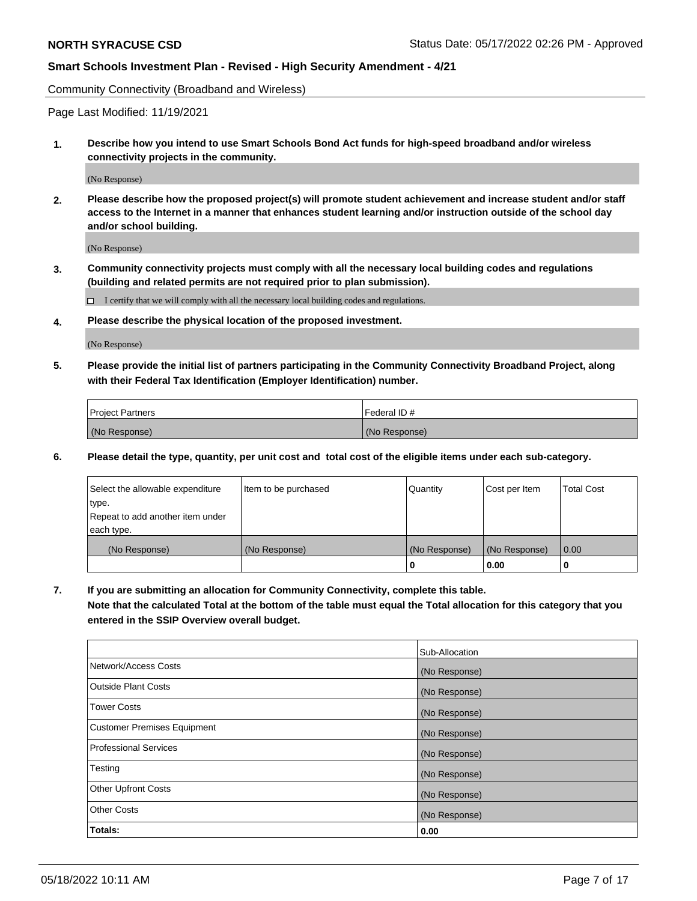Community Connectivity (Broadband and Wireless)

Page Last Modified: 11/19/2021

**1. Describe how you intend to use Smart Schools Bond Act funds for high-speed broadband and/or wireless connectivity projects in the community.**

(No Response)

**2. Please describe how the proposed project(s) will promote student achievement and increase student and/or staff access to the Internet in a manner that enhances student learning and/or instruction outside of the school day and/or school building.**

(No Response)

**3. Community connectivity projects must comply with all the necessary local building codes and regulations (building and related permits are not required prior to plan submission).**

 $\Box$  I certify that we will comply with all the necessary local building codes and regulations.

**4. Please describe the physical location of the proposed investment.**

(No Response)

**5. Please provide the initial list of partners participating in the Community Connectivity Broadband Project, along with their Federal Tax Identification (Employer Identification) number.**

| <b>Project Partners</b> | l Federal ID # |
|-------------------------|----------------|
| (No Response)           | (No Response)  |

**6. Please detail the type, quantity, per unit cost and total cost of the eligible items under each sub-category.**

| Select the allowable expenditure          | Item to be purchased | Quantity      | Cost per Item | <b>Total Cost</b> |
|-------------------------------------------|----------------------|---------------|---------------|-------------------|
| type.<br>Repeat to add another item under |                      |               |               |                   |
| each type.                                |                      |               |               |                   |
| (No Response)                             | (No Response)        | (No Response) | (No Response) | 0.00              |
|                                           |                      | 0             | 0.00          |                   |

**7. If you are submitting an allocation for Community Connectivity, complete this table.**

**Note that the calculated Total at the bottom of the table must equal the Total allocation for this category that you entered in the SSIP Overview overall budget.**

|                                    | Sub-Allocation |
|------------------------------------|----------------|
| Network/Access Costs               | (No Response)  |
| Outside Plant Costs                | (No Response)  |
| <b>Tower Costs</b>                 | (No Response)  |
| <b>Customer Premises Equipment</b> | (No Response)  |
| Professional Services              | (No Response)  |
| Testing                            | (No Response)  |
| <b>Other Upfront Costs</b>         | (No Response)  |
| <b>Other Costs</b>                 | (No Response)  |
| Totals:                            | 0.00           |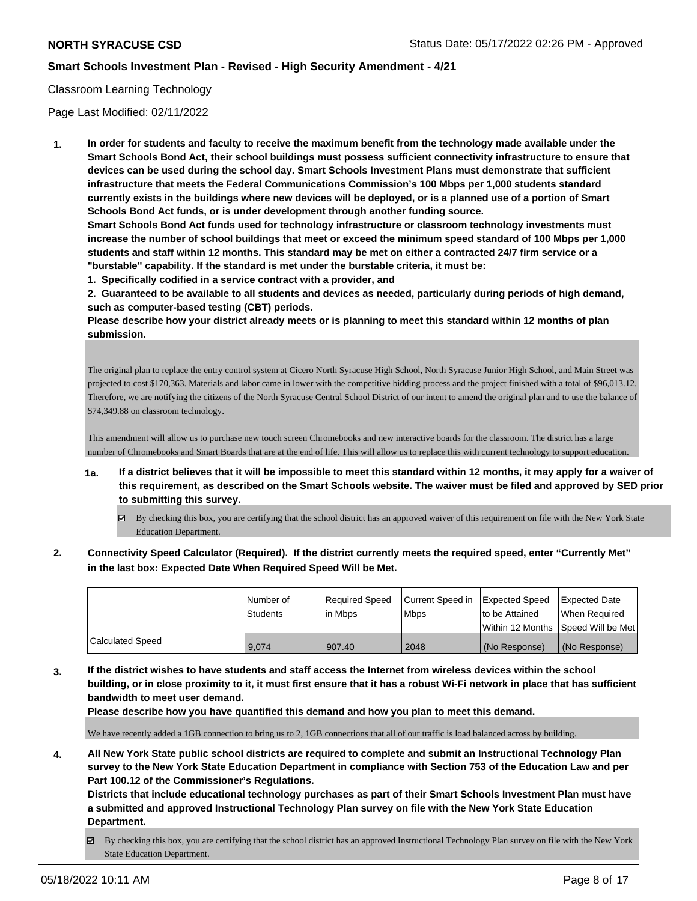### Classroom Learning Technology

Page Last Modified: 02/11/2022

**1. In order for students and faculty to receive the maximum benefit from the technology made available under the Smart Schools Bond Act, their school buildings must possess sufficient connectivity infrastructure to ensure that devices can be used during the school day. Smart Schools Investment Plans must demonstrate that sufficient infrastructure that meets the Federal Communications Commission's 100 Mbps per 1,000 students standard currently exists in the buildings where new devices will be deployed, or is a planned use of a portion of Smart Schools Bond Act funds, or is under development through another funding source.**

**Smart Schools Bond Act funds used for technology infrastructure or classroom technology investments must increase the number of school buildings that meet or exceed the minimum speed standard of 100 Mbps per 1,000 students and staff within 12 months. This standard may be met on either a contracted 24/7 firm service or a "burstable" capability. If the standard is met under the burstable criteria, it must be:**

**1. Specifically codified in a service contract with a provider, and**

**2. Guaranteed to be available to all students and devices as needed, particularly during periods of high demand, such as computer-based testing (CBT) periods.**

**Please describe how your district already meets or is planning to meet this standard within 12 months of plan submission.**

The original plan to replace the entry control system at Cicero North Syracuse High School, North Syracuse Junior High School, and Main Street was projected to cost \$170,363. Materials and labor came in lower with the competitive bidding process and the project finished with a total of \$96,013.12. Therefore, we are notifying the citizens of the North Syracuse Central School District of our intent to amend the original plan and to use the balance of \$74,349.88 on classroom technology.

This amendment will allow us to purchase new touch screen Chromebooks and new interactive boards for the classroom. The district has a large number of Chromebooks and Smart Boards that are at the end of life. This will allow us to replace this with current technology to support education.

- **1a. If a district believes that it will be impossible to meet this standard within 12 months, it may apply for a waiver of this requirement, as described on the Smart Schools website. The waiver must be filed and approved by SED prior to submitting this survey.**
	- By checking this box, you are certifying that the school district has an approved waiver of this requirement on file with the New York State Education Department.
- **2. Connectivity Speed Calculator (Required). If the district currently meets the required speed, enter "Currently Met" in the last box: Expected Date When Required Speed Will be Met.**

|                         | l Number of     | Required Speed | Current Speed in Expected Speed |                                    | Expected Date |
|-------------------------|-----------------|----------------|---------------------------------|------------------------------------|---------------|
|                         | <b>Students</b> | l in Mbps      | <b>Mbps</b>                     | to be Attained                     | When Reauired |
|                         |                 |                |                                 | Within 12 Months Speed Will be Met |               |
| <b>Calculated Speed</b> | 9,074           | 907.40         | 2048                            | l (No Response)                    | (No Response) |

**3. If the district wishes to have students and staff access the Internet from wireless devices within the school building, or in close proximity to it, it must first ensure that it has a robust Wi-Fi network in place that has sufficient bandwidth to meet user demand.**

**Please describe how you have quantified this demand and how you plan to meet this demand.**

We have recently added a 1GB connection to bring us to 2, 1GB connections that all of our traffic is load balanced across by building.

**4. All New York State public school districts are required to complete and submit an Instructional Technology Plan survey to the New York State Education Department in compliance with Section 753 of the Education Law and per Part 100.12 of the Commissioner's Regulations.**

**Districts that include educational technology purchases as part of their Smart Schools Investment Plan must have a submitted and approved Instructional Technology Plan survey on file with the New York State Education Department.**

 $\boxtimes$  By checking this box, you are certifying that the school district has an approved Instructional Technology Plan survey on file with the New York State Education Department.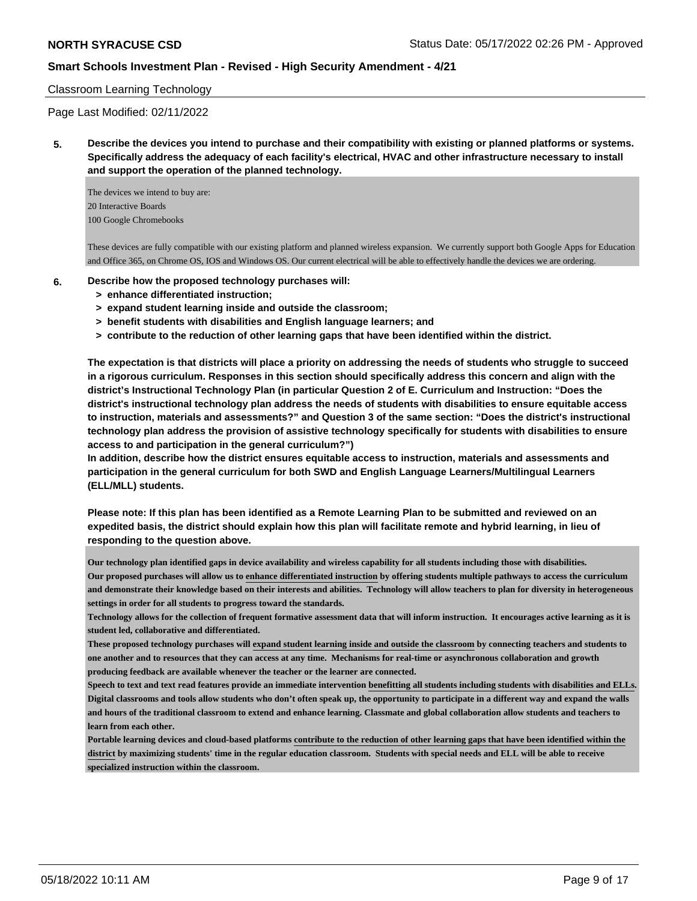### Classroom Learning Technology

Page Last Modified: 02/11/2022

**5. Describe the devices you intend to purchase and their compatibility with existing or planned platforms or systems. Specifically address the adequacy of each facility's electrical, HVAC and other infrastructure necessary to install and support the operation of the planned technology.**

The devices we intend to buy are: 20 Interactive Boards 100 Google Chromebooks

These devices are fully compatible with our existing platform and planned wireless expansion. We currently support both Google Apps for Education and Office 365, on Chrome OS, IOS and Windows OS. Our current electrical will be able to effectively handle the devices we are ordering.

- **6. Describe how the proposed technology purchases will:**
	- **> enhance differentiated instruction;**
	- **> expand student learning inside and outside the classroom;**
	- **> benefit students with disabilities and English language learners; and**
	- **> contribute to the reduction of other learning gaps that have been identified within the district.**

**The expectation is that districts will place a priority on addressing the needs of students who struggle to succeed in a rigorous curriculum. Responses in this section should specifically address this concern and align with the district's Instructional Technology Plan (in particular Question 2 of E. Curriculum and Instruction: "Does the district's instructional technology plan address the needs of students with disabilities to ensure equitable access to instruction, materials and assessments?" and Question 3 of the same section: "Does the district's instructional technology plan address the provision of assistive technology specifically for students with disabilities to ensure access to and participation in the general curriculum?")**

**In addition, describe how the district ensures equitable access to instruction, materials and assessments and participation in the general curriculum for both SWD and English Language Learners/Multilingual Learners (ELL/MLL) students.**

**Please note: If this plan has been identified as a Remote Learning Plan to be submitted and reviewed on an expedited basis, the district should explain how this plan will facilitate remote and hybrid learning, in lieu of responding to the question above.**

**Our technology plan identified gaps in device availability and wireless capability for all students including those with disabilities. Our proposed purchases will allow us to enhance differentiated instruction by offering students multiple pathways to access the curriculum and demonstrate their knowledge based on their interests and abilities. Technology will allow teachers to plan for diversity in heterogeneous settings in order for all students to progress toward the standards.**

**Technology allows for the collection of frequent formative assessment data that will inform instruction. It encourages active learning as it is student led, collaborative and differentiated.**

**These proposed technology purchases will expand student learning inside and outside the classroom by connecting teachers and students to one another and to resources that they can access at any time. Mechanisms for real-time or asynchronous collaboration and growth producing feedback are available whenever the teacher or the learner are connected.**

**Speech to text and text read features provide an immediate intervention benefitting all students including students with disabilities and ELLs. Digital classrooms and tools allow students who don't often speak up, the opportunity to participate in a different way and expand the walls and hours of the traditional classroom to extend and enhance learning. Classmate and global collaboration allow students and teachers to learn from each other.**

**Portable learning devices and cloud-based platforms contribute to the reduction of other learning gaps that have been identified within the district by maximizing students' time in the regular education classroom. Students with special needs and ELL will be able to receive specialized instruction within the classroom.**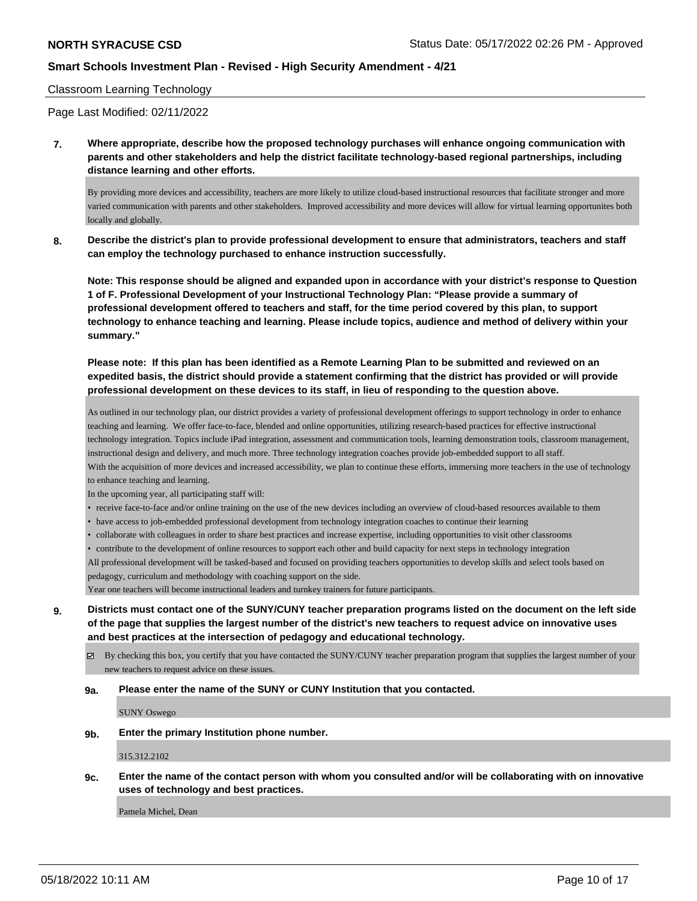### Classroom Learning Technology

Page Last Modified: 02/11/2022

**7. Where appropriate, describe how the proposed technology purchases will enhance ongoing communication with parents and other stakeholders and help the district facilitate technology-based regional partnerships, including distance learning and other efforts.**

By providing more devices and accessibility, teachers are more likely to utilize cloud-based instructional resources that facilitate stronger and more varied communication with parents and other stakeholders. Improved accessibility and more devices will allow for virtual learning opportunites both locally and globally.

**8. Describe the district's plan to provide professional development to ensure that administrators, teachers and staff can employ the technology purchased to enhance instruction successfully.**

**Note: This response should be aligned and expanded upon in accordance with your district's response to Question 1 of F. Professional Development of your Instructional Technology Plan: "Please provide a summary of professional development offered to teachers and staff, for the time period covered by this plan, to support technology to enhance teaching and learning. Please include topics, audience and method of delivery within your summary."**

**Please note: If this plan has been identified as a Remote Learning Plan to be submitted and reviewed on an expedited basis, the district should provide a statement confirming that the district has provided or will provide professional development on these devices to its staff, in lieu of responding to the question above.**

As outlined in our technology plan, our district provides a variety of professional development offerings to support technology in order to enhance teaching and learning. We offer face-to-face, blended and online opportunities, utilizing research-based practices for effective instructional technology integration. Topics include iPad integration, assessment and communication tools, learning demonstration tools, classroom management, instructional design and delivery, and much more. Three technology integration coaches provide job-embedded support to all staff. With the acquisition of more devices and increased accessibility, we plan to continue these efforts, immersing more teachers in the use of technology to enhance teaching and learning.

In the upcoming year, all participating staff will:

- receive face-to-face and/or online training on the use of the new devices including an overview of cloud-based resources available to them
- have access to job-embedded professional development from technology integration coaches to continue their learning
- collaborate with colleagues in order to share best practices and increase expertise, including opportunities to visit other classrooms

• contribute to the development of online resources to support each other and build capacity for next steps in technology integration All professional development will be tasked-based and focused on providing teachers opportunities to develop skills and select tools based on pedagogy, curriculum and methodology with coaching support on the side.

Year one teachers will become instructional leaders and turnkey trainers for future participants.

**9. Districts must contact one of the SUNY/CUNY teacher preparation programs listed on the document on the left side of the page that supplies the largest number of the district's new teachers to request advice on innovative uses and best practices at the intersection of pedagogy and educational technology.**

By checking this box, you certify that you have contacted the SUNY/CUNY teacher preparation program that supplies the largest number of your new teachers to request advice on these issues.

#### **9a. Please enter the name of the SUNY or CUNY Institution that you contacted.**

SUNY Oswego

**9b. Enter the primary Institution phone number.**

315.312.2102

**9c. Enter the name of the contact person with whom you consulted and/or will be collaborating with on innovative uses of technology and best practices.**

Pamela Michel, Dean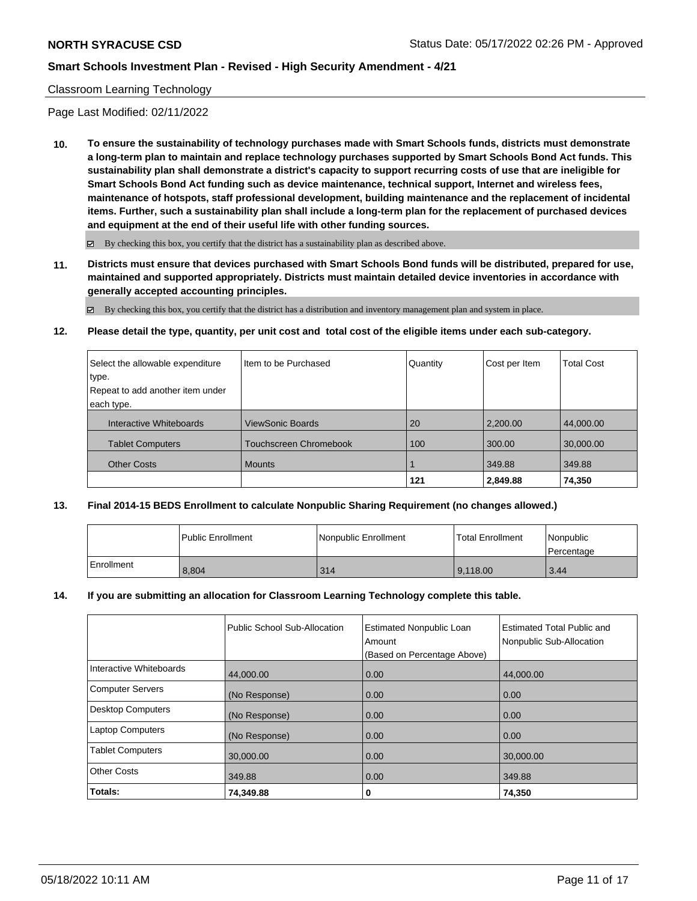### Classroom Learning Technology

Page Last Modified: 02/11/2022

**10. To ensure the sustainability of technology purchases made with Smart Schools funds, districts must demonstrate a long-term plan to maintain and replace technology purchases supported by Smart Schools Bond Act funds. This sustainability plan shall demonstrate a district's capacity to support recurring costs of use that are ineligible for Smart Schools Bond Act funding such as device maintenance, technical support, Internet and wireless fees, maintenance of hotspots, staff professional development, building maintenance and the replacement of incidental items. Further, such a sustainability plan shall include a long-term plan for the replacement of purchased devices and equipment at the end of their useful life with other funding sources.**

 $\boxtimes$  By checking this box, you certify that the district has a sustainability plan as described above.

**11. Districts must ensure that devices purchased with Smart Schools Bond funds will be distributed, prepared for use, maintained and supported appropriately. Districts must maintain detailed device inventories in accordance with generally accepted accounting principles.**

 $\boxtimes$  By checking this box, you certify that the district has a distribution and inventory management plan and system in place.

#### **12. Please detail the type, quantity, per unit cost and total cost of the eligible items under each sub-category.**

| Select the allowable expenditure | Item to be Purchased    | Quantity | Cost per Item | <b>Total Cost</b> |
|----------------------------------|-------------------------|----------|---------------|-------------------|
| ∣type.                           |                         |          |               |                   |
| Repeat to add another item under |                         |          |               |                   |
| each type.                       |                         |          |               |                   |
| Interactive Whiteboards          | <b>ViewSonic Boards</b> | 20       | 2,200.00      | 44,000.00         |
| <b>Tablet Computers</b>          | Touchscreen Chromebook  | 100      | 300.00        | 30,000.00         |
| <b>Other Costs</b>               | <b>Mounts</b>           |          | 349.88        | 349.88            |
|                                  |                         | 121      | 2,849.88      | 74,350            |

### **13. Final 2014-15 BEDS Enrollment to calculate Nonpublic Sharing Requirement (no changes allowed.)**

|            | l Public Enrollment | Nonpublic Enrollment | Total Enrollment | Nonpublic<br>Percentage |
|------------|---------------------|----------------------|------------------|-------------------------|
| Enrollment | 8.804               | 314                  | 9.118.00         | 3.44                    |

#### **14. If you are submitting an allocation for Classroom Learning Technology complete this table.**

|                          | Public School Sub-Allocation | <b>Estimated Nonpublic Loan</b><br>Amount<br>(Based on Percentage Above) | Estimated Total Public and<br>Nonpublic Sub-Allocation |
|--------------------------|------------------------------|--------------------------------------------------------------------------|--------------------------------------------------------|
| Interactive Whiteboards  | 44,000.00                    | 0.00                                                                     | 44,000.00                                              |
| Computer Servers         | (No Response)                | 0.00                                                                     | 0.00                                                   |
| <b>Desktop Computers</b> | (No Response)                | 0.00                                                                     | 0.00                                                   |
| <b>Laptop Computers</b>  | (No Response)                | 0.00                                                                     | 0.00                                                   |
| <b>Tablet Computers</b>  | 30,000.00                    | 0.00                                                                     | 30,000.00                                              |
| Other Costs              | 349.88                       | 0.00                                                                     | 349.88                                                 |
| Totals:                  | 74,349.88                    | 0                                                                        | 74,350                                                 |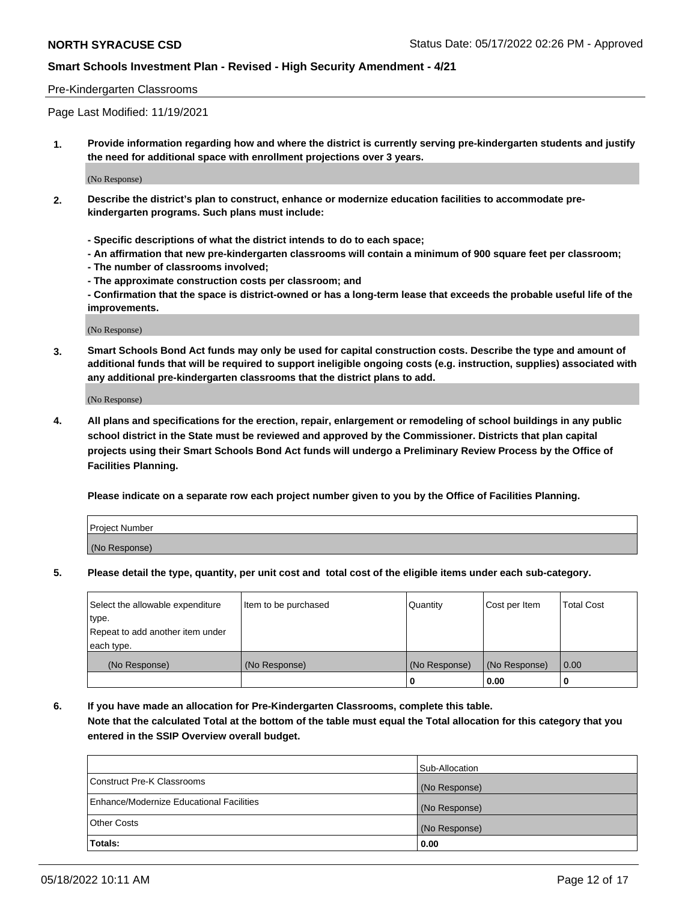### Pre-Kindergarten Classrooms

Page Last Modified: 11/19/2021

**1. Provide information regarding how and where the district is currently serving pre-kindergarten students and justify the need for additional space with enrollment projections over 3 years.**

(No Response)

- **2. Describe the district's plan to construct, enhance or modernize education facilities to accommodate prekindergarten programs. Such plans must include:**
	- **Specific descriptions of what the district intends to do to each space;**
	- **An affirmation that new pre-kindergarten classrooms will contain a minimum of 900 square feet per classroom;**
	- **The number of classrooms involved;**
	- **The approximate construction costs per classroom; and**
	- **Confirmation that the space is district-owned or has a long-term lease that exceeds the probable useful life of the improvements.**

(No Response)

**3. Smart Schools Bond Act funds may only be used for capital construction costs. Describe the type and amount of additional funds that will be required to support ineligible ongoing costs (e.g. instruction, supplies) associated with any additional pre-kindergarten classrooms that the district plans to add.**

(No Response)

**4. All plans and specifications for the erection, repair, enlargement or remodeling of school buildings in any public school district in the State must be reviewed and approved by the Commissioner. Districts that plan capital projects using their Smart Schools Bond Act funds will undergo a Preliminary Review Process by the Office of Facilities Planning.**

**Please indicate on a separate row each project number given to you by the Office of Facilities Planning.**

| Project Number |  |
|----------------|--|
| (No Response)  |  |

**5. Please detail the type, quantity, per unit cost and total cost of the eligible items under each sub-category.**

| Select the allowable expenditure | Item to be purchased | Quantity      | Cost per Item | <b>Total Cost</b> |
|----------------------------------|----------------------|---------------|---------------|-------------------|
| type.                            |                      |               |               |                   |
| Repeat to add another item under |                      |               |               |                   |
| each type.                       |                      |               |               |                   |
| (No Response)                    | (No Response)        | (No Response) | (No Response) | 0.00              |
|                                  |                      | 0             | 0.00          |                   |

**6. If you have made an allocation for Pre-Kindergarten Classrooms, complete this table.**

**Note that the calculated Total at the bottom of the table must equal the Total allocation for this category that you entered in the SSIP Overview overall budget.**

|                                          | Sub-Allocation |
|------------------------------------------|----------------|
| Construct Pre-K Classrooms               | (No Response)  |
| Enhance/Modernize Educational Facilities | (No Response)  |
| <b>Other Costs</b>                       | (No Response)  |
| Totals:                                  | 0.00           |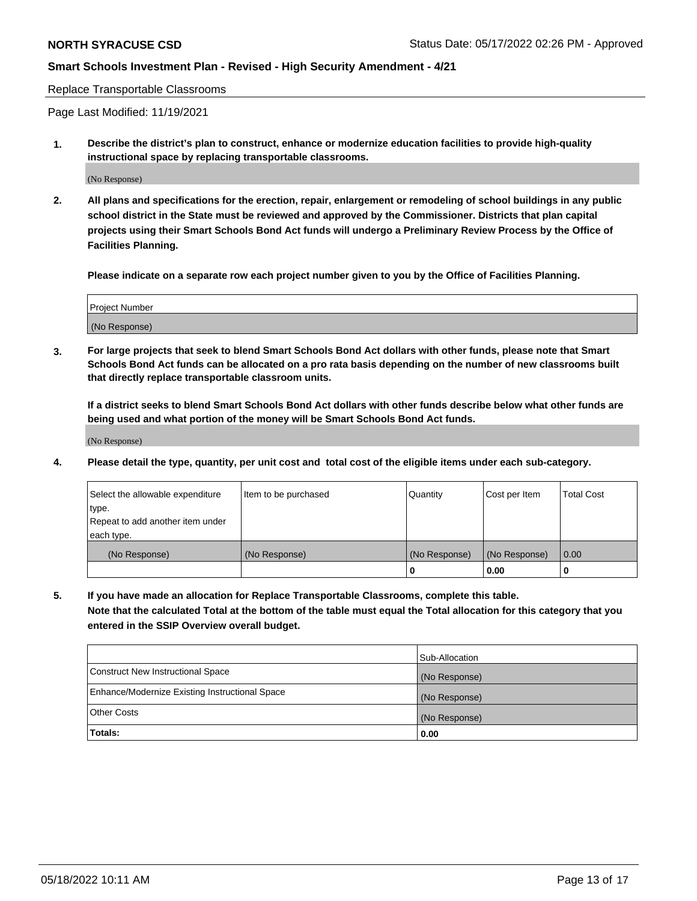Replace Transportable Classrooms

Page Last Modified: 11/19/2021

**1. Describe the district's plan to construct, enhance or modernize education facilities to provide high-quality instructional space by replacing transportable classrooms.**

(No Response)

**2. All plans and specifications for the erection, repair, enlargement or remodeling of school buildings in any public school district in the State must be reviewed and approved by the Commissioner. Districts that plan capital projects using their Smart Schools Bond Act funds will undergo a Preliminary Review Process by the Office of Facilities Planning.**

**Please indicate on a separate row each project number given to you by the Office of Facilities Planning.**

| <b>Project Number</b> |  |
|-----------------------|--|
| (No Response)         |  |

**3. For large projects that seek to blend Smart Schools Bond Act dollars with other funds, please note that Smart Schools Bond Act funds can be allocated on a pro rata basis depending on the number of new classrooms built that directly replace transportable classroom units.**

**If a district seeks to blend Smart Schools Bond Act dollars with other funds describe below what other funds are being used and what portion of the money will be Smart Schools Bond Act funds.**

(No Response)

**4. Please detail the type, quantity, per unit cost and total cost of the eligible items under each sub-category.**

| Select the allowable expenditure | Item to be purchased | Quantity      | Cost per Item | <b>Total Cost</b> |
|----------------------------------|----------------------|---------------|---------------|-------------------|
| type.                            |                      |               |               |                   |
| Repeat to add another item under |                      |               |               |                   |
| each type.                       |                      |               |               |                   |
| (No Response)                    | (No Response)        | (No Response) | (No Response) | 0.00              |
|                                  |                      | U             | 0.00          |                   |

**5. If you have made an allocation for Replace Transportable Classrooms, complete this table.**

**Note that the calculated Total at the bottom of the table must equal the Total allocation for this category that you entered in the SSIP Overview overall budget.**

|                                                | Sub-Allocation |
|------------------------------------------------|----------------|
| Construct New Instructional Space              | (No Response)  |
| Enhance/Modernize Existing Instructional Space | (No Response)  |
| <b>Other Costs</b>                             | (No Response)  |
| Totals:                                        | 0.00           |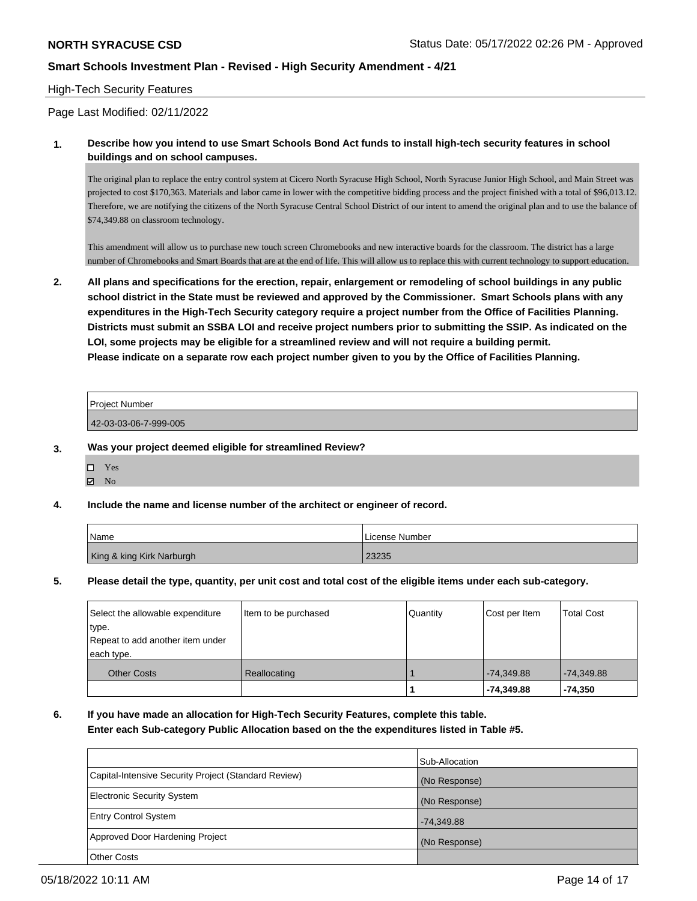### High-Tech Security Features

Page Last Modified: 02/11/2022

### **1. Describe how you intend to use Smart Schools Bond Act funds to install high-tech security features in school buildings and on school campuses.**

The original plan to replace the entry control system at Cicero North Syracuse High School, North Syracuse Junior High School, and Main Street was projected to cost \$170,363. Materials and labor came in lower with the competitive bidding process and the project finished with a total of \$96,013.12. Therefore, we are notifying the citizens of the North Syracuse Central School District of our intent to amend the original plan and to use the balance of \$74,349.88 on classroom technology.

This amendment will allow us to purchase new touch screen Chromebooks and new interactive boards for the classroom. The district has a large number of Chromebooks and Smart Boards that are at the end of life. This will allow us to replace this with current technology to support education.

**2. All plans and specifications for the erection, repair, enlargement or remodeling of school buildings in any public school district in the State must be reviewed and approved by the Commissioner. Smart Schools plans with any expenditures in the High-Tech Security category require a project number from the Office of Facilities Planning. Districts must submit an SSBA LOI and receive project numbers prior to submitting the SSIP. As indicated on the LOI, some projects may be eligible for a streamlined review and will not require a building permit. Please indicate on a separate row each project number given to you by the Office of Facilities Planning.**

| <b>Project Number</b> |  |
|-----------------------|--|
| 42-03-03-06-7-999-005 |  |

- **3. Was your project deemed eligible for streamlined Review?**
	- Yes
	- $\blacksquare$  No

## **4. Include the name and license number of the architect or engineer of record.**

| Name                      | l License Number |
|---------------------------|------------------|
| King & king Kirk Narburgh | 23235            |

### **5. Please detail the type, quantity, per unit cost and total cost of the eligible items under each sub-category.**

| Select the allowable expenditure<br>type.<br>Repeat to add another item under | Item to be purchased | Quantity | Cost per Item | <b>Total Cost</b> |
|-------------------------------------------------------------------------------|----------------------|----------|---------------|-------------------|
| each type.                                                                    |                      |          |               |                   |
| <b>Other Costs</b>                                                            | Reallocating         |          | $-74.349.88$  | $-74,349.88$      |
|                                                                               |                      |          | -74,349.88    | $-74.350$         |

## **6. If you have made an allocation for High-Tech Security Features, complete this table. Enter each Sub-category Public Allocation based on the the expenditures listed in Table #5.**

|                                                      | Sub-Allocation |
|------------------------------------------------------|----------------|
| Capital-Intensive Security Project (Standard Review) | (No Response)  |
| Electronic Security System                           | (No Response)  |
| <b>Entry Control System</b>                          | $-74,349.88$   |
| Approved Door Hardening Project                      | (No Response)  |
| <b>Other Costs</b>                                   |                |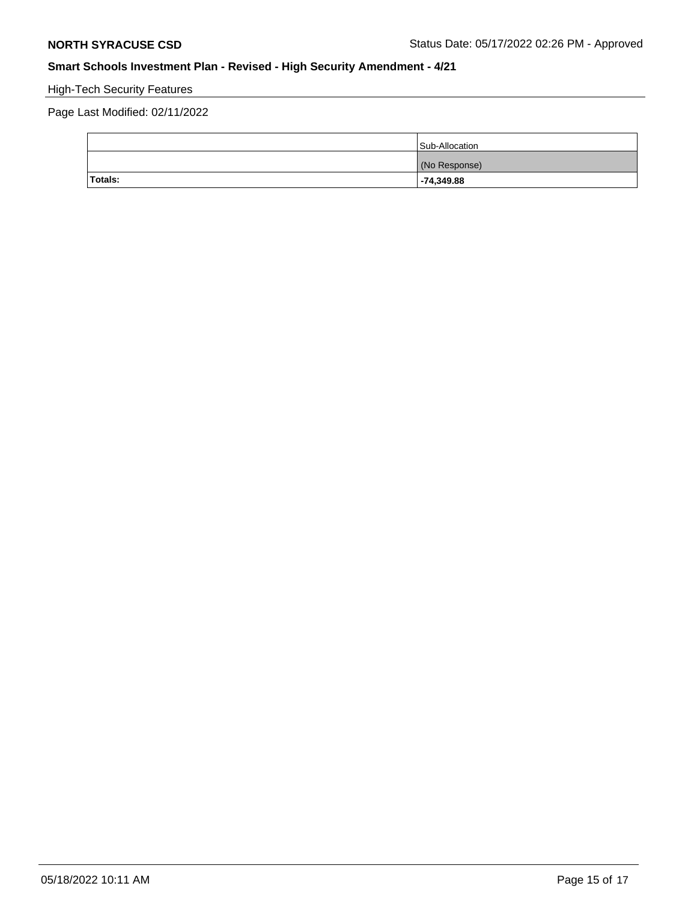# High-Tech Security Features

Page Last Modified: 02/11/2022

|         | Sub-Allocation |
|---------|----------------|
|         | (No Response)  |
| Totals: | $-74,349.88$   |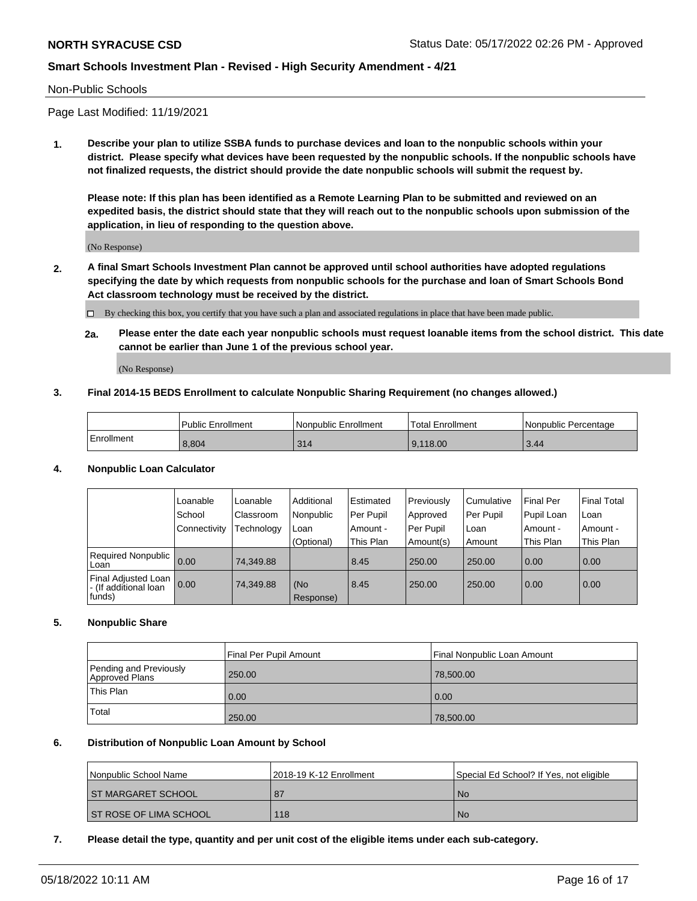### Non-Public Schools

Page Last Modified: 11/19/2021

**1. Describe your plan to utilize SSBA funds to purchase devices and loan to the nonpublic schools within your district. Please specify what devices have been requested by the nonpublic schools. If the nonpublic schools have not finalized requests, the district should provide the date nonpublic schools will submit the request by.**

**Please note: If this plan has been identified as a Remote Learning Plan to be submitted and reviewed on an expedited basis, the district should state that they will reach out to the nonpublic schools upon submission of the application, in lieu of responding to the question above.**

(No Response)

- **2. A final Smart Schools Investment Plan cannot be approved until school authorities have adopted regulations specifying the date by which requests from nonpublic schools for the purchase and loan of Smart Schools Bond Act classroom technology must be received by the district.**
	- $\Box$  By checking this box, you certify that you have such a plan and associated regulations in place that have been made public.
	- **2a. Please enter the date each year nonpublic schools must request loanable items from the school district. This date cannot be earlier than June 1 of the previous school year.**

(No Response)

#### **3. Final 2014-15 BEDS Enrollment to calculate Nonpublic Sharing Requirement (no changes allowed.)**

|            | <b>Public Enrollment</b> | Nonpublic Enrollment | Total Enrollment | l Nonpublic Percentage |
|------------|--------------------------|----------------------|------------------|------------------------|
| Enrollment | 8,804                    | 314                  | 9,118.00         | 3.44                   |

#### **4. Nonpublic Loan Calculator**

|                                                        | Loanable     | Loanable         | Additional         | Estimated   | Previously  | l Cumulative | <b>Final Per</b> | <b>Final Total</b> |
|--------------------------------------------------------|--------------|------------------|--------------------|-------------|-------------|--------------|------------------|--------------------|
|                                                        | School       | <b>Classroom</b> | Nonpublic          | l Per Pupil | Approved    | Per Pupil    | Pupil Loan       | ∣Loan              |
|                                                        | Connectivity | Technology       | Loan               | Amount -    | l Per Pupil | l Loan       | Amount -         | Amount -           |
|                                                        |              |                  | (Optional)         | This Plan   | Amount(s)   | Amount       | This Plan        | This Plan          |
| Required Nonpublic<br>Loan                             | 0.00         | 74.349.88        |                    | 8.45        | 250.00      | 250.00       | 0.00             | 0.00               |
| Final Adjusted Loan<br>- (If additional loan<br>funds) | 0.00         | 74.349.88        | l (No<br>Response) | 8.45        | 250.00      | 250.00       | 0.00             | 0.00               |

#### **5. Nonpublic Share**

|                                          | Final Per Pupil Amount | Final Nonpublic Loan Amount |
|------------------------------------------|------------------------|-----------------------------|
| Pending and Previously<br>Approved Plans | 250.00                 | 78,500.00                   |
| This Plan                                | 0.00                   | 0.00                        |
| Total                                    | 250.00                 | 78,500.00                   |

#### **6. Distribution of Nonpublic Loan Amount by School**

| <b>Nonpublic School Name</b>  | 12018-19 K-12 Enrollment | Special Ed School? If Yes, not eligible |
|-------------------------------|--------------------------|-----------------------------------------|
| <b>ST MARGARET SCHOOL</b>     | 87                       | No.                                     |
| <b>ST ROSE OF LIMA SCHOOL</b> | 118                      | No.                                     |

#### **7. Please detail the type, quantity and per unit cost of the eligible items under each sub-category.**